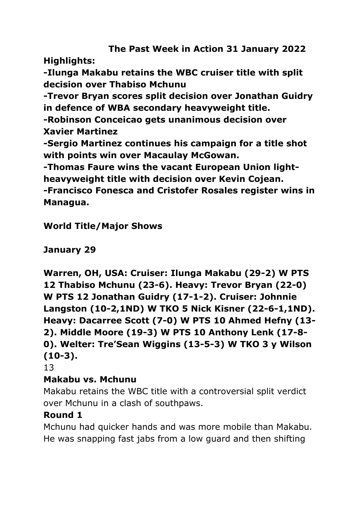# **The Past Week in Action 31 January 2022**

**Highlights:**

**-Ilunga Makabu retains the WBC cruiser title with split decision over Thabiso Mchunu**

**-Trevor Bryan scores split decision over Jonathan Guidry in defence of WBA secondary heavyweight title.**

**-Robinson Conceicao gets unanimous decision over Xavier Martinez**

**-Sergio Martinez continues his campaign for a title shot with points win over Macaulay McGowan.**

**-Thomas Faure wins the vacant European Union lightheavyweight title with decision over Kevin Cojean.**

**-Francisco Fonesca and Cristofer Rosales register wins in Managua.**

**World Title/Major Shows**

**January 29**

**Warren, OH, USA: Cruiser: Ilunga Makabu (29-2) W PTS 12 Thabiso Mchunu (23-6). Heavy: Trevor Bryan (22-0) W PTS 12 Jonathan Guidry (17-1-2). Cruiser: Johnnie Langston (10-2,1ND) W TKO 5 Nick Kisner (22-6-1,1ND). Heavy: Dacarree Scott (7-0) W PTS 10 Ahmed Hefny (13- 2). Middle Moore (19-3) W PTS 10 Anthony Lenk (17-8- 0). Welter: Tre'Sean Wiggins (13-5-3) W TKO 3 y Wilson (10-3).**

13

#### **Makabu vs. Mchunu**

Makabu retains the WBC title with a controversial split verdict over Mchunu in a clash of southpaws.

#### **Round 1**

Mchunu had quicker hands and was more mobile than Makabu. He was snapping fast jabs from a low guard and then shifting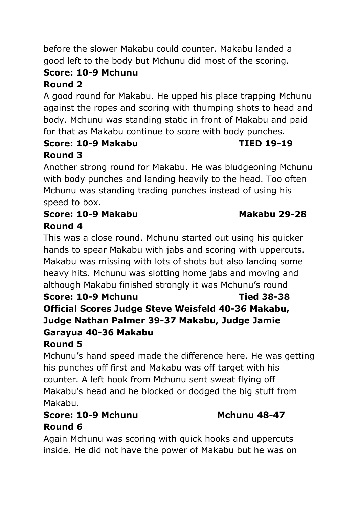# **Score: 10-9 Mchunu**

# **Round 2**

A good round for Makabu. He upped his place trapping Mchunu against the ropes and scoring with thumping shots to head and body. Mchunu was standing static in front of Makabu and paid for that as Makabu continue to score with body punches.

#### **Score: 10-9 Makabu TIED 19-19 Round 3**

Another strong round for Makabu. He was bludgeoning Mchunu with body punches and landing heavily to the head. Too often Mchunu was standing trading punches instead of using his speed to box.

#### **Score: 10-9 Makabu Makabu 29-28 Round 4**

This was a close round. Mchunu started out using his quicker hands to spear Makabu with jabs and scoring with uppercuts. Makabu was missing with lots of shots but also landing some heavy hits. Mchunu was slotting home jabs and moving and although Makabu finished strongly it was Mchunu's round **Score: 10-9 Mchunu Tied 38-38 Official Scores Judge Steve Weisfeld 40-36 Makabu, Judge Nathan Palmer 39-37 Makabu, Judge Jamie Garayua 40-36 Makabu Round 5**

Mchunu's hand speed made the difference here. He was getting his punches off first and Makabu was off target with his counter. A left hook from Mchunu sent sweat flying off Makabu's head and he blocked or dodged the big stuff from Makabu.

#### **Score: 10-9 Mchunu Mchunu 48-47 Round 6**

Again Mchunu was scoring with quick hooks and uppercuts inside. He did not have the power of Makabu but he was on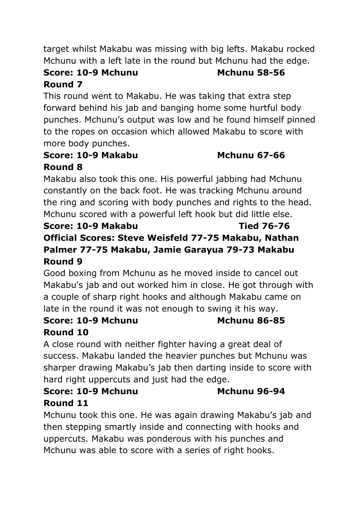target whilst Makabu was missing with big lefts. Makabu rocked Mchunu with a left late in the round but Mchunu had the edge.

#### **Score: 10-9 Mchunu Mchunu 58-56 Round 7**

This round went to Makabu. He was taking that extra step forward behind his jab and banging home some hurtful body punches. Mchunu's output was low and he found himself pinned to the ropes on occasion which allowed Makabu to score with more body punches.

#### **Score: 10-9 Makabu Mchunu 67-66 Round 8**

Makabu also took this one. His powerful jabbing had Mchunu constantly on the back foot. He was tracking Mchunu around the ring and scoring with body punches and rights to the head. Mchunu scored with a powerful left hook but did little else.

#### **Score: 10-9 Makabu Tied 76-76 Official Scores: Steve Weisfeld 77-75 Makabu, Nathan Palmer 77-75 Makabu, Jamie Garayua 79-73 Makabu Round 9**

Good boxing from Mchunu as he moved inside to cancel out Makabu's jab and out worked him in close. He got through with a couple of sharp right hooks and although Makabu came on late in the round it was not enough to swing it his way.

#### **Score: 10-9 Mchunu Mchunu 86-85 Round 10**

A close round with neither fighter having a great deal of success. Makabu landed the heavier punches but Mchunu was sharper drawing Makabu's jab then darting inside to score with hard right uppercuts and just had the edge.

#### **Score: 10-9 Mchunu Mchunu 96-94 Round 11**

Mchunu took this one. He was again drawing Makabu's jab and then stepping smartly inside and connecting with hooks and uppercuts. Makabu was ponderous with his punches and Mchunu was able to score with a series of right hooks.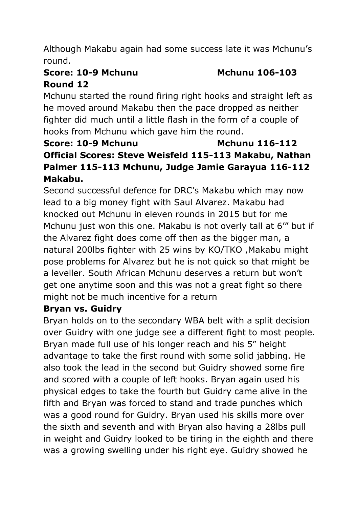Although Makabu again had some success late it was Mchunu's round.

# **Score: 10-9 Mchunu Mchunu 106-103**

### **Round 12**

Mchunu started the round firing right hooks and straight left as he moved around Makabu then the pace dropped as neither fighter did much until a little flash in the form of a couple of hooks from Mchunu which gave him the round.

#### **Score: 10-9 Mchunu Mchunu 116-112 Official Scores: Steve Weisfeld 115-113 Makabu, Nathan Palmer 115-113 Mchunu, Judge Jamie Garayua 116-112 Makabu.**

Second successful defence for DRC's Makabu which may now lead to a big money fight with Saul Alvarez. Makabu had knocked out Mchunu in eleven rounds in 2015 but for me Mchunu just won this one. Makabu is not overly tall at 6'" but if the Alvarez fight does come off then as the bigger man, a natural 200lbs fighter with 25 wins by KO/TKO ,Makabu might pose problems for Alvarez but he is not quick so that might be a leveller. South African Mchunu deserves a return but won't get one anytime soon and this was not a great fight so there might not be much incentive for a return

#### **Bryan vs. Guidry**

Bryan holds on to the secondary WBA belt with a split decision over Guidry with one judge see a different fight to most people. Bryan made full use of his longer reach and his 5" height advantage to take the first round with some solid jabbing. He also took the lead in the second but Guidry showed some fire and scored with a couple of left hooks. Bryan again used his physical edges to take the fourth but Guidry came alive in the fifth and Bryan was forced to stand and trade punches which was a good round for Guidry. Bryan used his skills more over the sixth and seventh and with Bryan also having a 28lbs pull in weight and Guidry looked to be tiring in the eighth and there was a growing swelling under his right eye. Guidry showed he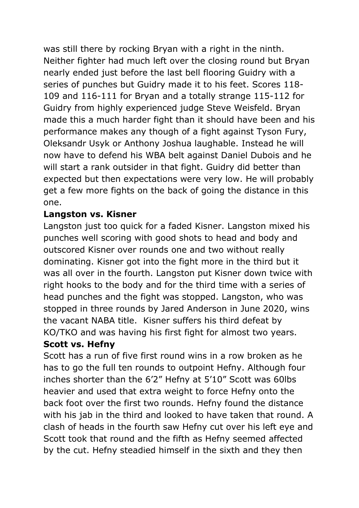was still there by rocking Bryan with a right in the ninth. Neither fighter had much left over the closing round but Bryan nearly ended just before the last bell flooring Guidry with a series of punches but Guidry made it to his feet. Scores 118- 109 and 116-111 for Bryan and a totally strange 115-112 for Guidry from highly experienced judge Steve Weisfeld. Bryan made this a much harder fight than it should have been and his performance makes any though of a fight against Tyson Fury, Oleksandr Usyk or Anthony Joshua laughable. Instead he will now have to defend his WBA belt against Daniel Dubois and he will start a rank outsider in that fight. Guidry did better than expected but then expectations were very low. He will probably get a few more fights on the back of going the distance in this one.

#### **Langston vs. Kisner**

Langston just too quick for a faded Kisner. Langston mixed his punches well scoring with good shots to head and body and outscored Kisner over rounds one and two without really dominating. Kisner got into the fight more in the third but it was all over in the fourth. Langston put Kisner down twice with right hooks to the body and for the third time with a series of head punches and the fight was stopped. Langston, who was stopped in three rounds by Jared Anderson in June 2020, wins the vacant NABA title. Kisner suffers his third defeat by KO/TKO and was having his first fight for almost two years.

#### **Scott vs. Hefny**

Scott has a run of five first round wins in a row broken as he has to go the full ten rounds to outpoint Hefny. Although four inches shorter than the 6'2" Hefny at 5'10" Scott was 60lbs heavier and used that extra weight to force Hefny onto the back foot over the first two rounds. Hefny found the distance with his jab in the third and looked to have taken that round. A clash of heads in the fourth saw Hefny cut over his left eye and Scott took that round and the fifth as Hefny seemed affected by the cut. Hefny steadied himself in the sixth and they then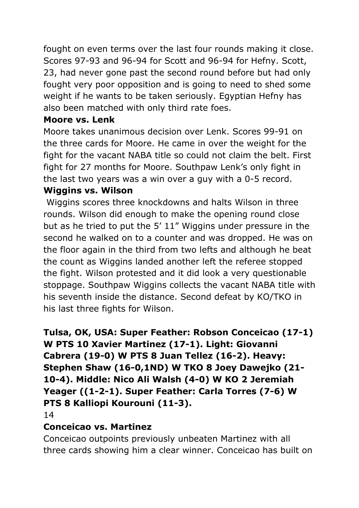fought on even terms over the last four rounds making it close. Scores 97-93 and 96-94 for Scott and 96-94 for Hefny. Scott, 23, had never gone past the second round before but had only fought very poor opposition and is going to need to shed some weight if he wants to be taken seriously. Egyptian Hefny has also been matched with only third rate foes.

#### **Moore vs. Lenk**

Moore takes unanimous decision over Lenk. Scores 99-91 on the three cards for Moore. He came in over the weight for the fight for the vacant NABA title so could not claim the belt. First fight for 27 months for Moore. Southpaw Lenk's only fight in the last two years was a win over a guy with a 0-5 record. **Wiggins vs. Wilson**

Wiggins scores three knockdowns and halts Wilson in three rounds. Wilson did enough to make the opening round close but as he tried to put the 5' 11" Wiggins under pressure in the second he walked on to a counter and was dropped. He was on the floor again in the third from two lefts and although he beat the count as Wiggins landed another left the referee stopped the fight. Wilson protested and it did look a very questionable stoppage. Southpaw Wiggins collects the vacant NABA title with his seventh inside the distance. Second defeat by KO/TKO in his last three fights for Wilson.

#### **Tulsa, OK, USA: Super Feather: Robson Conceicao (17-1) W PTS 10 Xavier Martinez (17-1). Light: Giovanni Cabrera (19-0) W PTS 8 Juan Tellez (16-2). Heavy: Stephen Shaw (16-0,1ND) W TKO 8 Joey Dawejko (21- 10-4). Middle: Nico Ali Walsh (4-0) W KO 2 Jeremiah Yeager ((1-2-1). Super Feather: Carla Torres (7-6) W PTS 8 Kalliopi Kourouni (11-3).**

14

#### **Conceicao vs. Martinez**

Conceicao outpoints previously unbeaten Martinez with all three cards showing him a clear winner. Conceicao has built on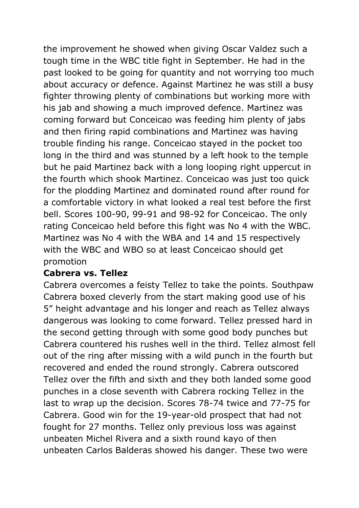the improvement he showed when giving Oscar Valdez such a tough time in the WBC title fight in September. He had in the past looked to be going for quantity and not worrying too much about accuracy or defence. Against Martinez he was still a busy fighter throwing plenty of combinations but working more with his jab and showing a much improved defence. Martinez was coming forward but Conceicao was feeding him plenty of jabs and then firing rapid combinations and Martinez was having trouble finding his range. Conceicao stayed in the pocket too long in the third and was stunned by a left hook to the temple but he paid Martinez back with a long looping right uppercut in the fourth which shook Martinez. Conceicao was just too quick for the plodding Martinez and dominated round after round for a comfortable victory in what looked a real test before the first bell. Scores 100-90, 99-91 and 98-92 for Conceicao. The only rating Conceicao held before this fight was No 4 with the WBC. Martinez was No 4 with the WBA and 14 and 15 respectively with the WBC and WBO so at least Conceicao should get promotion

#### **Cabrera vs. Tellez**

Cabrera overcomes a feisty Tellez to take the points. Southpaw Cabrera boxed cleverly from the start making good use of his 5" height advantage and his longer and reach as Tellez always dangerous was looking to come forward. Tellez pressed hard in the second getting through with some good body punches but Cabrera countered his rushes well in the third. Tellez almost fell out of the ring after missing with a wild punch in the fourth but recovered and ended the round strongly. Cabrera outscored Tellez over the fifth and sixth and they both landed some good punches in a close seventh with Cabrera rocking Tellez in the last to wrap up the decision. Scores 78-74 twice and 77-75 for Cabrera. Good win for the 19-year-old prospect that had not fought for 27 months. Tellez only previous loss was against unbeaten Michel Rivera and a sixth round kayo of then unbeaten Carlos Balderas showed his danger. These two were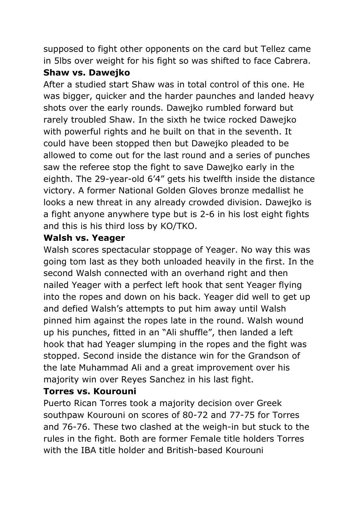supposed to fight other opponents on the card but Tellez came in 5lbs over weight for his fight so was shifted to face Cabrera.

#### **Shaw vs. Dawejko**

After a studied start Shaw was in total control of this one. He was bigger, quicker and the harder paunches and landed heavy shots over the early rounds. Dawejko rumbled forward but rarely troubled Shaw. In the sixth he twice rocked Dawejko with powerful rights and he built on that in the seventh. It could have been stopped then but Dawejko pleaded to be allowed to come out for the last round and a series of punches saw the referee stop the fight to save Dawejko early in the eighth. The 29-year-old 6'4" gets his twelfth inside the distance victory. A former National Golden Gloves bronze medallist he looks a new threat in any already crowded division. Dawejko is a fight anyone anywhere type but is 2-6 in his lost eight fights and this is his third loss by KO/TKO.

#### **Walsh vs. Yeager**

Walsh scores spectacular stoppage of Yeager. No way this was going tom last as they both unloaded heavily in the first. In the second Walsh connected with an overhand right and then nailed Yeager with a perfect left hook that sent Yeager flying into the ropes and down on his back. Yeager did well to get up and defied Walsh's attempts to put him away until Walsh pinned him against the ropes late in the round. Walsh wound up his punches, fitted in an "Ali shuffle", then landed a left hook that had Yeager slumping in the ropes and the fight was stopped. Second inside the distance win for the Grandson of the late Muhammad Ali and a great improvement over his majority win over Reyes Sanchez in his last fight.

#### **Torres vs. Kourouni**

Puerto Rican Torres took a majority decision over Greek southpaw Kourouni on scores of 80-72 and 77-75 for Torres and 76-76. These two clashed at the weigh-in but stuck to the rules in the fight. Both are former Female title holders Torres with the IBA title holder and British-based Kourouni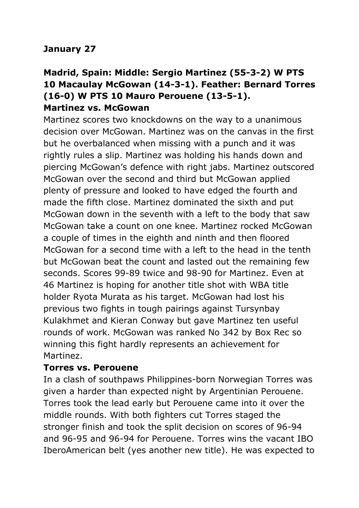#### **January 27**

#### **Madrid, Spain: Middle: Sergio Martinez (55-3-2) W PTS 10 Macaulay McGowan (14-3-1). Feather: Bernard Torres (16-0) W PTS 10 Mauro Perouene (13-5-1). Martinez vs. McGowan**

Martinez scores two knockdowns on the way to a unanimous decision over McGowan. Martinez was on the canvas in the first but he overbalanced when missing with a punch and it was rightly rules a slip. Martinez was holding his hands down and piercing McGowan's defence with right jabs. Martinez outscored McGowan over the second and third but McGowan applied plenty of pressure and looked to have edged the fourth and made the fifth close. Martinez dominated the sixth and put McGowan down in the seventh with a left to the body that saw McGowan take a count on one knee. Martinez rocked McGowan a couple of times in the eighth and ninth and then floored McGowan for a second time with a left to the head in the tenth but McGowan beat the count and lasted out the remaining few seconds. Scores 99-89 twice and 98-90 for Martinez. Even at 46 Martinez is hoping for another title shot with WBA title holder Ryota Murata as his target. McGowan had lost his previous two fights in tough pairings against Tursynbay Kulakhmet and Kieran Conway but gave Martinez ten useful rounds of work. McGowan was ranked No 342 by Box Rec so winning this fight hardly represents an achievement for Martinez.

#### **Torres vs. Perouene**

In a clash of southpaws Philippines-born Norwegian Torres was given a harder than expected night by Argentinian Perouene. Torres took the lead early but Perouene came into it over the middle rounds. With both fighters cut Torres staged the stronger finish and took the split decision on scores of 96-94 and 96-95 and 96-94 for Perouene. Torres wins the vacant IBO IberoAmerican belt (yes another new title). He was expected to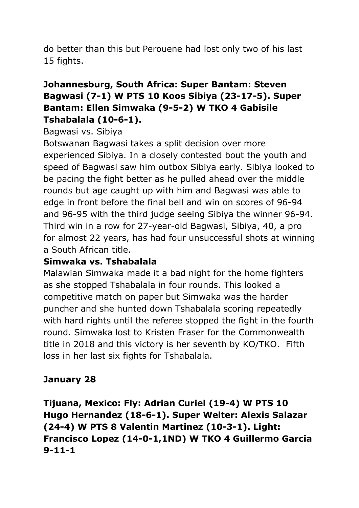do better than this but Perouene had lost only two of his last 15 fights.

#### **Johannesburg, South Africa: Super Bantam: Steven Bagwasi (7-1) W PTS 10 Koos Sibiya (23-17-5). Super Bantam: Ellen Simwaka (9-5-2) W TKO 4 Gabisile Tshabalala (10-6-1).**

#### Bagwasi vs. Sibiya

Botswanan Bagwasi takes a split decision over more experienced Sibiya. In a closely contested bout the youth and speed of Bagwasi saw him outbox Sibiya early. Sibiya looked to be pacing the fight better as he pulled ahead over the middle rounds but age caught up with him and Bagwasi was able to edge in front before the final bell and win on scores of 96-94 and 96-95 with the third judge seeing Sibiya the winner 96-94. Third win in a row for 27-year-old Bagwasi, Sibiya, 40, a pro for almost 22 years, has had four unsuccessful shots at winning a South African title.

#### **Simwaka vs. Tshabalala**

Malawian Simwaka made it a bad night for the home fighters as she stopped Tshabalala in four rounds. This looked a competitive match on paper but Simwaka was the harder puncher and she hunted down Tshabalala scoring repeatedly with hard rights until the referee stopped the fight in the fourth round. Simwaka lost to Kristen Fraser for the Commonwealth title in 2018 and this victory is her seventh by KO/TKO. Fifth loss in her last six fights for Tshabalala.

#### **January 28**

**Tijuana, Mexico: Fly: Adrian Curiel (19-4) W PTS 10 Hugo Hernandez (18-6-1). Super Welter: Alexis Salazar (24-4) W PTS 8 Valentin Martinez (10-3-1). Light: Francisco Lopez (14-0-1,1ND) W TKO 4 Guillermo Garcia 9-11-1**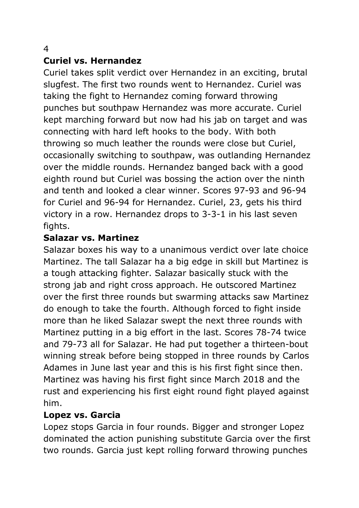#### 4

#### **Curiel vs. Hernandez**

Curiel takes split verdict over Hernandez in an exciting, brutal slugfest. The first two rounds went to Hernandez. Curiel was taking the fight to Hernandez coming forward throwing punches but southpaw Hernandez was more accurate. Curiel kept marching forward but now had his jab on target and was connecting with hard left hooks to the body. With both throwing so much leather the rounds were close but Curiel, occasionally switching to southpaw, was outlanding Hernandez over the middle rounds. Hernandez banged back with a good eighth round but Curiel was bossing the action over the ninth and tenth and looked a clear winner. Scores 97-93 and 96-94 for Curiel and 96-94 for Hernandez. Curiel, 23, gets his third victory in a row. Hernandez drops to 3-3-1 in his last seven fights.

#### **Salazar vs. Martinez**

Salazar boxes his way to a unanimous verdict over late choice Martinez. The tall Salazar ha a big edge in skill but Martinez is a tough attacking fighter. Salazar basically stuck with the strong jab and right cross approach. He outscored Martinez over the first three rounds but swarming attacks saw Martinez do enough to take the fourth. Although forced to fight inside more than he liked Salazar swept the next three rounds with Martinez putting in a big effort in the last. Scores 78-74 twice and 79-73 all for Salazar. He had put together a thirteen-bout winning streak before being stopped in three rounds by Carlos Adames in June last year and this is his first fight since then. Martinez was having his first fight since March 2018 and the rust and experiencing his first eight round fight played against him.

#### **Lopez vs. Garcia**

Lopez stops Garcia in four rounds. Bigger and stronger Lopez dominated the action punishing substitute Garcia over the first two rounds. Garcia just kept rolling forward throwing punches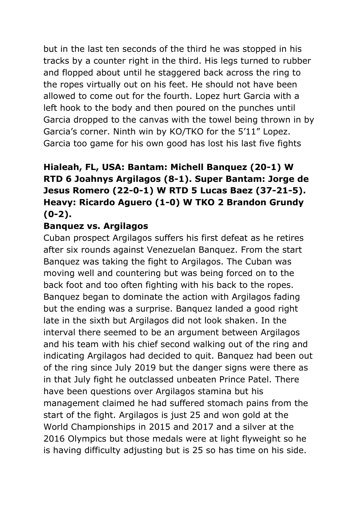but in the last ten seconds of the third he was stopped in his tracks by a counter right in the third. His legs turned to rubber and flopped about until he staggered back across the ring to the ropes virtually out on his feet. He should not have been allowed to come out for the fourth. Lopez hurt Garcia with a left hook to the body and then poured on the punches until Garcia dropped to the canvas with the towel being thrown in by Garcia's corner. Ninth win by KO/TKO for the 5'11" Lopez. Garcia too game for his own good has lost his last five fights

#### **Hialeah, FL, USA: Bantam: Michell Banquez (20-1) W RTD 6 Joahnys Argilagos (8-1). Super Bantam: Jorge de Jesus Romero (22-0-1) W RTD 5 Lucas Baez (37-21-5). Heavy: Ricardo Aguero (1-0) W TKO 2 Brandon Grundy (0-2).**

#### **Banquez vs. Argilagos**

Cuban prospect Argilagos suffers his first defeat as he retires after six rounds against Venezuelan Banquez. From the start Banquez was taking the fight to Argilagos. The Cuban was moving well and countering but was being forced on to the back foot and too often fighting with his back to the ropes. Banquez began to dominate the action with Argilagos fading but the ending was a surprise. Banquez landed a good right late in the sixth but Argilagos did not look shaken. In the interval there seemed to be an argument between Argilagos and his team with his chief second walking out of the ring and indicating Argilagos had decided to quit. Banquez had been out of the ring since July 2019 but the danger signs were there as in that July fight he outclassed unbeaten Prince Patel. There have been questions over Argilagos stamina but his management claimed he had suffered stomach pains from the start of the fight. Argilagos is just 25 and won gold at the World Championships in 2015 and 2017 and a silver at the 2016 Olympics but those medals were at light flyweight so he is having difficulty adjusting but is 25 so has time on his side.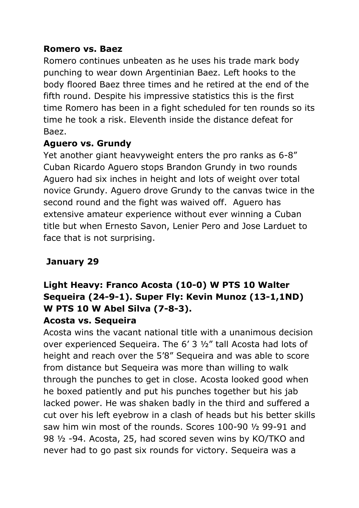#### **Romero vs. Baez**

Romero continues unbeaten as he uses his trade mark body punching to wear down Argentinian Baez. Left hooks to the body floored Baez three times and he retired at the end of the fifth round. Despite his impressive statistics this is the first time Romero has been in a fight scheduled for ten rounds so its time he took a risk. Eleventh inside the distance defeat for Baez.

#### **Aguero vs. Grundy**

Yet another giant heavyweight enters the pro ranks as 6-8" Cuban Ricardo Aguero stops Brandon Grundy in two rounds Aguero had six inches in height and lots of weight over total novice Grundy. Aguero drove Grundy to the canvas twice in the second round and the fight was waived off. Aguero has extensive amateur experience without ever winning a Cuban title but when Ernesto Savon, Lenier Pero and Jose Larduet to face that is not surprising.

#### **January 29**

## **Light Heavy: Franco Acosta (10-0) W PTS 10 Walter Sequeira (24-9-1). Super Fly: Kevin Munoz (13-1,1ND) W PTS 10 W Abel Silva (7-8-3).**

#### **Acosta vs. Sequeira**

Acosta wins the vacant national title with a unanimous decision over experienced Sequeira. The 6' 3 ½" tall Acosta had lots of height and reach over the 5'8" Sequeira and was able to score from distance but Sequeira was more than willing to walk through the punches to get in close. Acosta looked good when he boxed patiently and put his punches together but his jab lacked power. He was shaken badly in the third and suffered a cut over his left eyebrow in a clash of heads but his better skills saw him win most of the rounds. Scores 100-90 ½ 99-91 and 98 ½ -94. Acosta, 25, had scored seven wins by KO/TKO and never had to go past six rounds for victory. Sequeira was a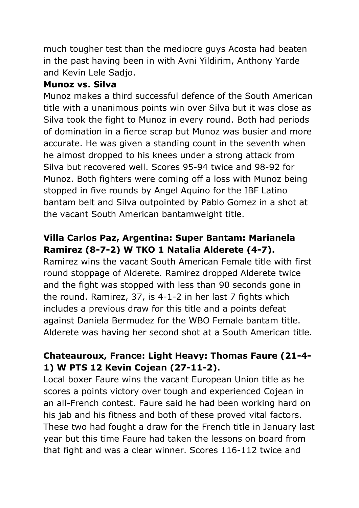much tougher test than the mediocre guys Acosta had beaten in the past having been in with Avni Yildirim, Anthony Yarde and Kevin Lele Sadjo.

#### **Munoz vs. Silva**

Munoz makes a third successful defence of the South American title with a unanimous points win over Silva but it was close as Silva took the fight to Munoz in every round. Both had periods of domination in a fierce scrap but Munoz was busier and more accurate. He was given a standing count in the seventh when he almost dropped to his knees under a strong attack from Silva but recovered well. Scores 95-94 twice and 98-92 for Munoz. Both fighters were coming off a loss with Munoz being stopped in five rounds by Angel Aquino for the IBF Latino bantam belt and Silva outpointed by Pablo Gomez in a shot at the vacant South American bantamweight title.

#### **Villa Carlos Paz, Argentina: Super Bantam: Marianela Ramirez (8-7-2) W TKO 1 Natalia Alderete (4-7).**

Ramirez wins the vacant South American Female title with first round stoppage of Alderete. Ramirez dropped Alderete twice and the fight was stopped with less than 90 seconds gone in the round. Ramirez, 37, is 4-1-2 in her last 7 fights which includes a previous draw for this title and a points defeat against Daniela Bermudez for the WBO Female bantam title. Alderete was having her second shot at a South American title.

#### **Chateauroux, France: Light Heavy: Thomas Faure (21-4- 1) W PTS 12 Kevin Cojean (27-11-2).**

Local boxer Faure wins the vacant European Union title as he scores a points victory over tough and experienced Cojean in an all-French contest. Faure said he had been working hard on his jab and his fitness and both of these proved vital factors. These two had fought a draw for the French title in January last year but this time Faure had taken the lessons on board from that fight and was a clear winner. Scores 116-112 twice and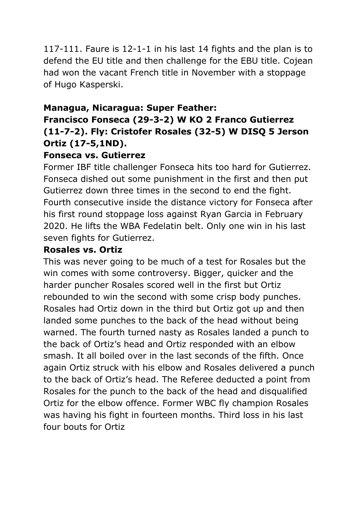117-111. Faure is 12-1-1 in his last 14 fights and the plan is to defend the EU title and then challenge for the EBU title. Cojean had won the vacant French title in November with a stoppage of Hugo Kasperski.

#### **Managua, Nicaragua: Super Feather:**

### **Francisco Fonseca (29-3-2) W KO 2 Franco Gutierrez (11-7-2). Fly: Cristofer Rosales (32-5) W DISQ 5 Jerson Ortiz (17-5,1ND).**

#### **Fonseca vs. Gutierrez**

Former IBF title challenger Fonseca hits too hard for Gutierrez. Fonseca dished out some punishment in the first and then put Gutierrez down three times in the second to end the fight. Fourth consecutive inside the distance victory for Fonseca after his first round stoppage loss against Ryan Garcia in February 2020. He lifts the WBA Fedelatin belt. Only one win in his last seven fights for Gutierrez.

#### **Rosales vs. Ortiz**

This was never going to be much of a test for Rosales but the win comes with some controversy. Bigger, quicker and the harder puncher Rosales scored well in the first but Ortiz rebounded to win the second with some crisp body punches. Rosales had Ortiz down in the third but Ortiz got up and then landed some punches to the back of the head without being warned. The fourth turned nasty as Rosales landed a punch to the back of Ortiz's head and Ortiz responded with an elbow smash. It all boiled over in the last seconds of the fifth. Once again Ortiz struck with his elbow and Rosales delivered a punch to the back of Ortiz's head. The Referee deducted a point from Rosales for the punch to the back of the head and disqualified Ortiz for the elbow offence. Former WBC fly champion Rosales was having his fight in fourteen months. Third loss in his last four bouts for Ortiz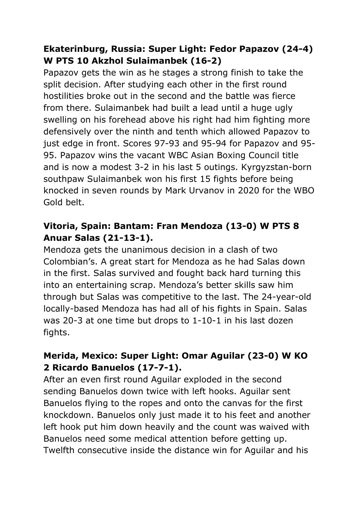#### **Ekaterinburg, Russia: Super Light: Fedor Papazov (24-4) W PTS 10 Akzhol Sulaimanbek (16-2)**

Papazov gets the win as he stages a strong finish to take the split decision. After studying each other in the first round hostilities broke out in the second and the battle was fierce from there. Sulaimanbek had built a lead until a huge ugly swelling on his forehead above his right had him fighting more defensively over the ninth and tenth which allowed Papazov to just edge in front. Scores 97-93 and 95-94 for Papazov and 95- 95. Papazov wins the vacant WBC Asian Boxing Council title and is now a modest 3-2 in his last 5 outings. Kyrgyzstan-born southpaw Sulaimanbek won his first 15 fights before being knocked in seven rounds by Mark Urvanov in 2020 for the WBO Gold belt.

#### **Vitoria, Spain: Bantam: Fran Mendoza (13-0) W PTS 8 Anuar Salas (21-13-1).**

Mendoza gets the unanimous decision in a clash of two Colombian's. A great start for Mendoza as he had Salas down in the first. Salas survived and fought back hard turning this into an entertaining scrap. Mendoza's better skills saw him through but Salas was competitive to the last. The 24-year-old locally-based Mendoza has had all of his fights in Spain. Salas was 20-3 at one time but drops to 1-10-1 in his last dozen fights.

#### **Merida, Mexico: Super Light: Omar Aguilar (23-0) W KO 2 Ricardo Banuelos (17-7-1).**

After an even first round Aguilar exploded in the second sending Banuelos down twice with left hooks. Aguilar sent Banuelos flying to the ropes and onto the canvas for the first knockdown. Banuelos only just made it to his feet and another left hook put him down heavily and the count was waived with Banuelos need some medical attention before getting up. Twelfth consecutive inside the distance win for Aguilar and his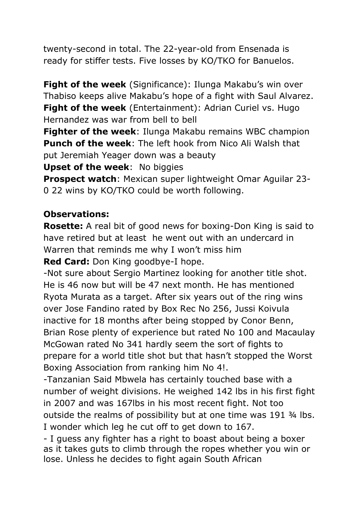twenty-second in total. The 22-year-old from Ensenada is ready for stiffer tests. Five losses by KO/TKO for Banuelos.

**Fight of the week** (Significance): Ilunga Makabu's win over Thabiso keeps alive Makabu's hope of a fight with Saul Alvarez. **Fight of the week** (Entertainment): Adrian Curiel vs. Hugo Hernandez was war from bell to bell

**Fighter of the week**: Ilunga Makabu remains WBC champion **Punch of the week**: The left hook from Nico Ali Walsh that put Jeremiah Yeager down was a beauty

**Upset of the week**: No biggies

**Prospect watch**: Mexican super lightweight Omar Aguilar 23- 0 22 wins by KO/TKO could be worth following.

#### **Observations:**

**Rosette:** A real bit of good news for boxing-Don King is said to have retired but at least he went out with an undercard in Warren that reminds me why I won't miss him

**Red Card:** Don King goodbye-I hope.

-Not sure about Sergio Martinez looking for another title shot. He is 46 now but will be 47 next month. He has mentioned Ryota Murata as a target. After six years out of the ring wins over Jose Fandino rated by Box Rec No 256, Jussi Koivula inactive for 18 months after being stopped by Conor Benn, Brian Rose plenty of experience but rated No 100 and Macaulay McGowan rated No 341 hardly seem the sort of fights to prepare for a world title shot but that hasn't stopped the Worst Boxing Association from ranking him No 4!.

-Tanzanian Said Mbwela has certainly touched base with a number of weight divisions. He weighed 142 lbs in his first fight in 2007 and was 167lbs in his most recent fight. Not too outside the realms of possibility but at one time was 191 ¾ lbs. I wonder which leg he cut off to get down to 167.

- I guess any fighter has a right to boast about being a boxer as it takes guts to climb through the ropes whether you win or lose. Unless he decides to fight again South African